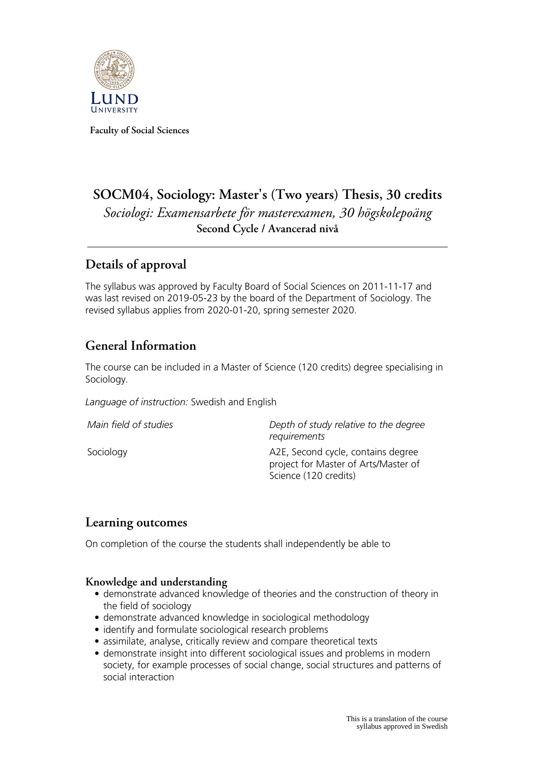

**Faculty of Social Sciences**

# **SOCM04, Sociology: Master's (Two years) Thesis, 30 credits** *Sociologi: Examensarbete för masterexamen, 30 högskolepoäng* **Second Cycle / Avancerad nivå**

# **Details of approval**

The syllabus was approved by Faculty Board of Social Sciences on 2011-11-17 and was last revised on 2019-05-23 by the board of the Department of Sociology. The revised syllabus applies from 2020-01-20, spring semester 2020.

# **General Information**

The course can be included in a Master of Science (120 credits) degree specialising in Sociology.

*Language of instruction:* Swedish and English

| Main field of studies | Depth of study relative to the degree<br>requirements                                               |
|-----------------------|-----------------------------------------------------------------------------------------------------|
| Sociology             | A2E, Second cycle, contains degree<br>project for Master of Arts/Master of<br>Science (120 credits) |

## **Learning outcomes**

On completion of the course the students shall independently be able to

#### **Knowledge and understanding**

- demonstrate advanced knowledge of theories and the construction of theory in the field of sociology
- demonstrate advanced knowledge in sociological methodology
- identify and formulate sociological research problems
- assimilate, analyse, critically review and compare theoretical texts
- demonstrate insight into different sociological issues and problems in modern society, for example processes of social change, social structures and patterns of social interaction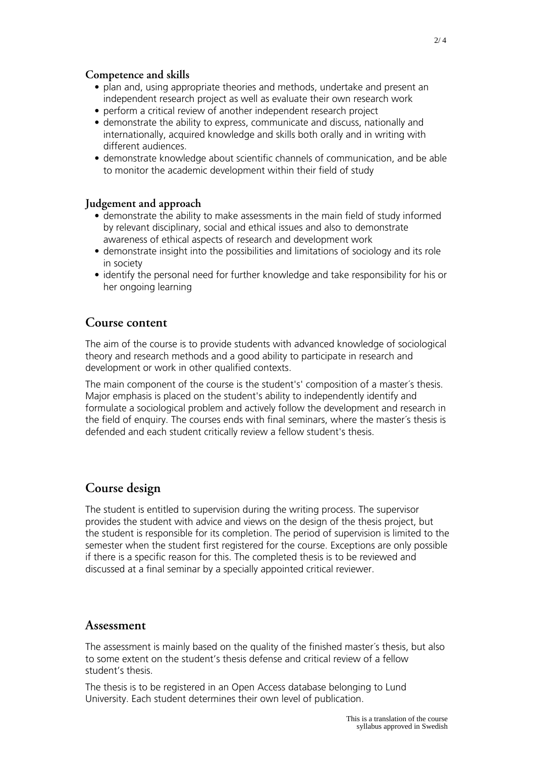#### **Competence and skills**

- plan and, using appropriate theories and methods, undertake and present an independent research project as well as evaluate their own research work
- perform a critical review of another independent research project
- demonstrate the ability to express, communicate and discuss, nationally and internationally, acquired knowledge and skills both orally and in writing with different audiences.
- demonstrate knowledge about scientific channels of communication, and be able to monitor the academic development within their field of study

#### **Judgement and approach**

- demonstrate the ability to make assessments in the main field of study informed by relevant disciplinary, social and ethical issues and also to demonstrate awareness of ethical aspects of research and development work
- demonstrate insight into the possibilities and limitations of sociology and its role in society
- identify the personal need for further knowledge and take responsibility for his or her ongoing learning

### **Course content**

The aim of the course is to provide students with advanced knowledge of sociological theory and research methods and a good ability to participate in research and development or work in other qualified contexts.

The main component of the course is the student's' composition of a master´s thesis. Major emphasis is placed on the student's ability to independently identify and formulate a sociological problem and actively follow the development and research in the field of enquiry. The courses ends with final seminars, where the master´s thesis is defended and each student critically review a fellow student's thesis.

# **Course design**

The student is entitled to supervision during the writing process. The supervisor provides the student with advice and views on the design of the thesis project, but the student is responsible for its completion. The period of supervision is limited to the semester when the student first registered for the course. Exceptions are only possible if there is a specific reason for this. The completed thesis is to be reviewed and discussed at a final seminar by a specially appointed critical reviewer.

#### **Assessment**

The assessment is mainly based on the quality of the finished master´s thesis, but also to some extent on the student's thesis defense and critical review of a fellow student's thesis.

The thesis is to be registered in an Open Access database belonging to Lund University. Each student determines their own level of publication.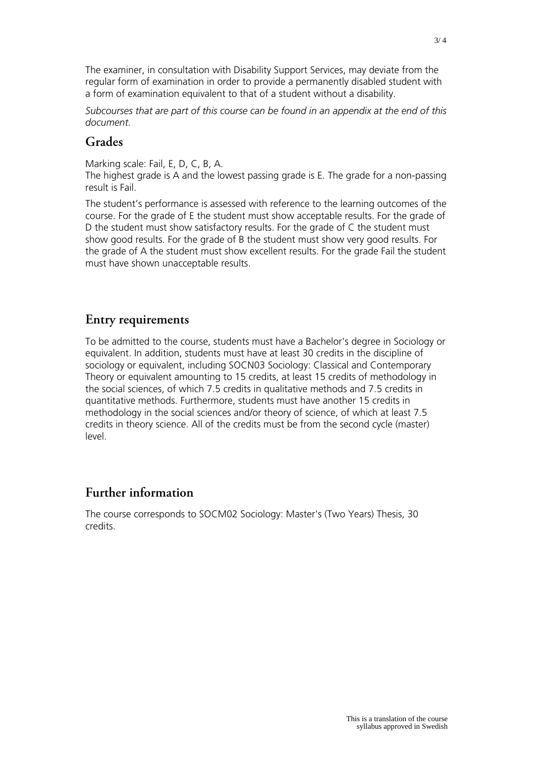The examiner, in consultation with Disability Support Services, may deviate from the regular form of examination in order to provide a permanently disabled student with a form of examination equivalent to that of a student without a disability.

*Subcourses that are part of this course can be found in an appendix at the end of this document.*

### **Grades**

Marking scale: Fail, E, D, C, B, A.

The highest grade is A and the lowest passing grade is E. The grade for a non-passing result is Fail.

The student's performance is assessed with reference to the learning outcomes of the course. For the grade of E the student must show acceptable results. For the grade of D the student must show satisfactory results. For the grade of C the student must show good results. For the grade of B the student must show very good results. For the grade of A the student must show excellent results. For the grade Fail the student must have shown unacceptable results.

## **Entry requirements**

To be admitted to the course, students must have a Bachelor's degree in Sociology or equivalent. In addition, students must have at least 30 credits in the discipline of sociology or equivalent, including SOCN03 Sociology: Classical and Contemporary Theory or equivalent amounting to 15 credits, at least 15 credits of methodology in the social sciences, of which 7.5 credits in qualitative methods and 7.5 credits in quantitative methods. Furthermore, students must have another 15 credits in methodology in the social sciences and/or theory of science, of which at least 7.5 credits in theory science. All of the credits must be from the second cycle (master) level.

# **Further information**

The course corresponds to SOCM02 Sociology: Master's (Two Years) Thesis, 30 credits.